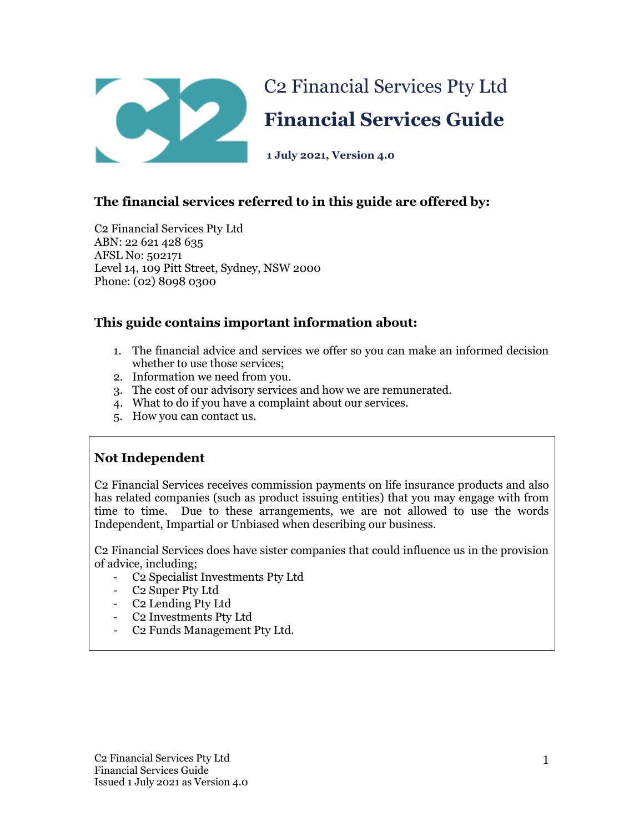

# **The financial services referred to in this guide are offered by:**

C2 Financial Services Pty Ltd ABN: 22 621 428 635 AFSL No: 502171 Level 14, 109 Pitt Street, Sydney, NSW 2000 Phone: (02) 8098 0300

## **This guide contains important information about:**

- 1. The financial advice and services we offer so you can make an informed decision whether to use those services;
- 2. Information we need from you.
- 3. The cost of our advisory services and how we are remunerated.
- 4. What to do if you have a complaint about our services.
- 5. How you can contact us.

### **Not Independent**

C2 Financial Services receives commission payments on life insurance products and also has related companies (such as product issuing entities) that you may engage with from time to time. Due to these arrangements, we are not allowed to use the words Independent, Impartial or Unbiased when describing our business.

C2 Financial Services does have sister companies that could influence us in the provision of advice, including;

- C2 Specialist Investments Pty Ltd
- C2 Super Pty Ltd
- C2 Lending Pty Ltd
- C2 Investments Pty Ltd
- C2 Funds Management Pty Ltd.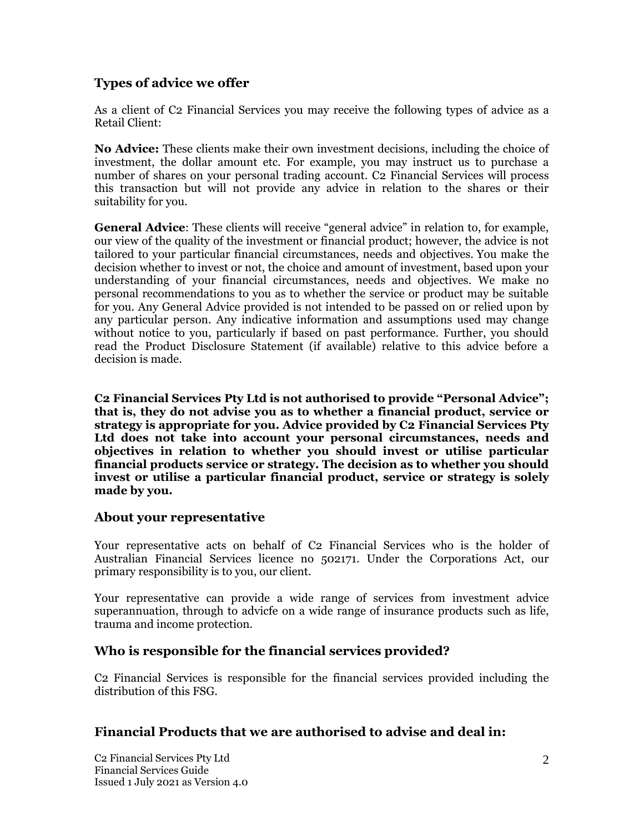# **Types of advice we offer**

As a client of C2 Financial Services you may receive the following types of advice as a Retail Client:

**No Advice:** These clients make their own investment decisions, including the choice of investment, the dollar amount etc. For example, you may instruct us to purchase a number of shares on your personal trading account. C2 Financial Services will process this transaction but will not provide any advice in relation to the shares or their suitability for you.

**General Advice**: These clients will receive "general advice" in relation to, for example, our view of the quality of the investment or financial product; however, the advice is not tailored to your particular financial circumstances, needs and objectives. You make the decision whether to invest or not, the choice and amount of investment, based upon your understanding of your financial circumstances, needs and objectives. We make no personal recommendations to you as to whether the service or product may be suitable for you. Any General Advice provided is not intended to be passed on or relied upon by any particular person. Any indicative information and assumptions used may change without notice to you, particularly if based on past performance. Further, you should read the Product Disclosure Statement (if available) relative to this advice before a decision is made.

**C2 Financial Services Pty Ltd is not authorised to provide "Personal Advice"; that is, they do not advise you as to whether a financial product, service or strategy is appropriate for you. Advice provided by C2 Financial Services Pty Ltd does not take into account your personal circumstances, needs and objectives in relation to whether you should invest or utilise particular financial products service or strategy. The decision as to whether you should invest or utilise a particular financial product, service or strategy is solely made by you.**

### **About your representative**

Your representative acts on behalf of C2 Financial Services who is the holder of Australian Financial Services licence no 502171. Under the Corporations Act, our primary responsibility is to you, our client.

Your representative can provide a wide range of services from investment advice superannuation, through to advicfe on a wide range of insurance products such as life, trauma and income protection.

### **Who is responsible for the financial services provided?**

C2 Financial Services is responsible for the financial services provided including the distribution of this FSG.

### **Financial Products that we are authorised to advise and deal in:**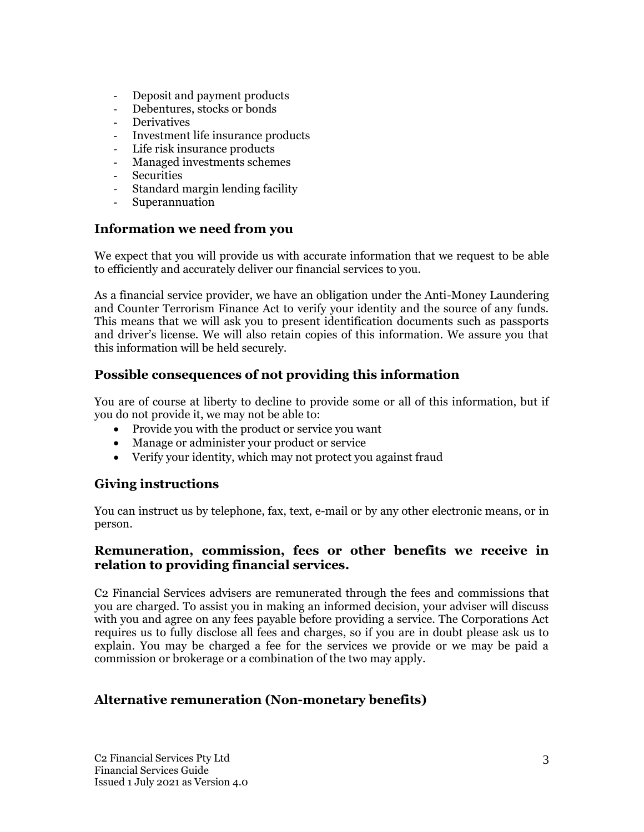- Deposit and payment products
- Debentures, stocks or bonds
- **Derivatives**
- Investment life insurance products
- Life risk insurance products
- Managed investments schemes
- **Securities**
- Standard margin lending facility
- **Superannuation**

### **Information we need from you**

We expect that you will provide us with accurate information that we request to be able to efficiently and accurately deliver our financial services to you.

As a financial service provider, we have an obligation under the Anti-Money Laundering and Counter Terrorism Finance Act to verify your identity and the source of any funds. This means that we will ask you to present identification documents such as passports and driver's license. We will also retain copies of this information. We assure you that this information will be held securely.

# **Possible consequences of not providing this information**

You are of course at liberty to decline to provide some or all of this information, but if you do not provide it, we may not be able to:

- Provide you with the product or service you want
- Manage or administer your product or service
- Verify your identity, which may not protect you against fraud

# **Giving instructions**

You can instruct us by telephone, fax, text, e-mail or by any other electronic means, or in person.

### **Remuneration, commission, fees or other benefits we receive in relation to providing financial services.**

C2 Financial Services advisers are remunerated through the fees and commissions that you are charged. To assist you in making an informed decision, your adviser will discuss with you and agree on any fees payable before providing a service. The Corporations Act requires us to fully disclose all fees and charges, so if you are in doubt please ask us to explain. You may be charged a fee for the services we provide or we may be paid a commission or brokerage or a combination of the two may apply.

# **Alternative remuneration (Non-monetary benefits)**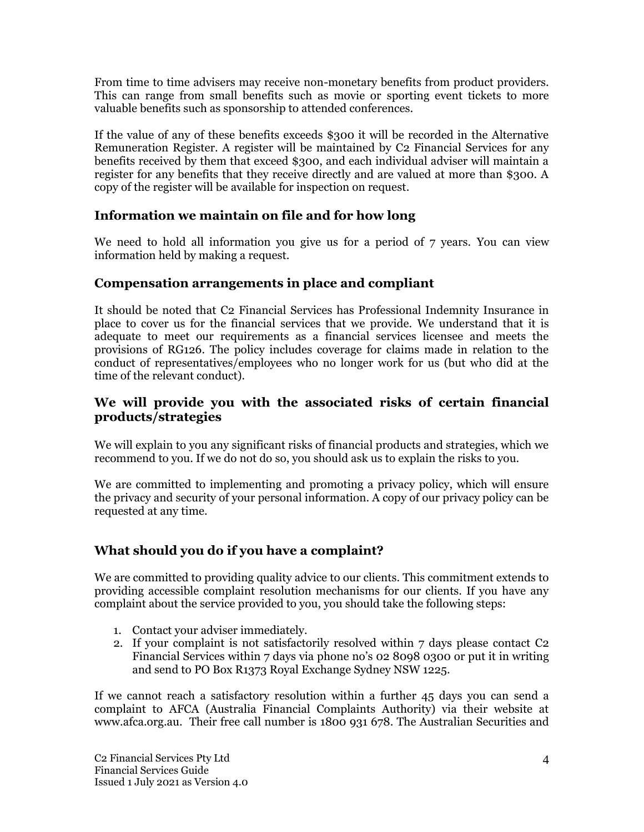From time to time advisers may receive non-monetary benefits from product providers. This can range from small benefits such as movie or sporting event tickets to more valuable benefits such as sponsorship to attended conferences.

If the value of any of these benefits exceeds \$300 it will be recorded in the Alternative Remuneration Register. A register will be maintained by C2 Financial Services for any benefits received by them that exceed \$300, and each individual adviser will maintain a register for any benefits that they receive directly and are valued at more than \$300. A copy of the register will be available for inspection on request.

## **Information we maintain on file and for how long**

We need to hold all information you give us for a period of 7 years. You can view information held by making a request.

## **Compensation arrangements in place and compliant**

It should be noted that C2 Financial Services has Professional Indemnity Insurance in place to cover us for the financial services that we provide. We understand that it is adequate to meet our requirements as a financial services licensee and meets the provisions of RG126. The policy includes coverage for claims made in relation to the conduct of representatives/employees who no longer work for us (but who did at the time of the relevant conduct).

## **We will provide you with the associated risks of certain financial products/strategies**

We will explain to you any significant risks of financial products and strategies, which we recommend to you. If we do not do so, you should ask us to explain the risks to you.

We are committed to implementing and promoting a privacy policy, which will ensure the privacy and security of your personal information. A copy of our privacy policy can be requested at any time.

# **What should you do if you have a complaint?**

We are committed to providing quality advice to our clients. This commitment extends to providing accessible complaint resolution mechanisms for our clients. If you have any complaint about the service provided to you, you should take the following steps:

- 1. Contact your adviser immediately.
- 2. If your complaint is not satisfactorily resolved within 7 days please contact C2 Financial Services within 7 days via phone no's 02 8098 0300 or put it in writing and send to PO Box R1373 Royal Exchange Sydney NSW 1225.

If we cannot reach a satisfactory resolution within a further 45 days you can send a complaint to AFCA (Australia Financial Complaints Authority) via their website at www.afca.org.au. Their free call number is 1800 931 678. The Australian Securities and